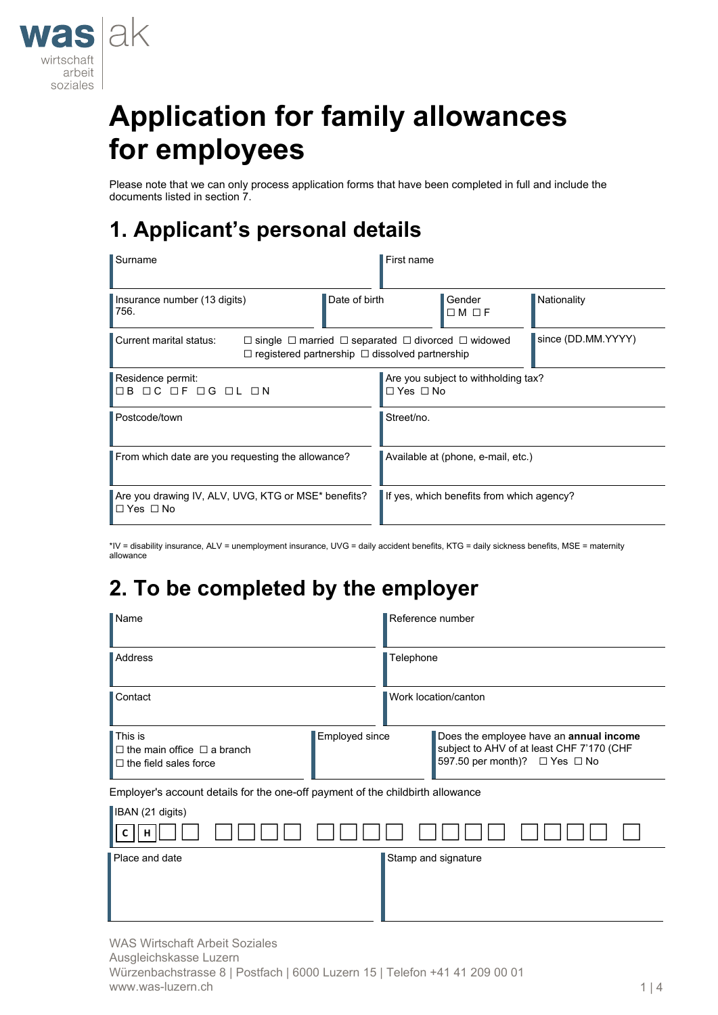

# **Application for family allowances for employees**

Please note that we can only process application forms that have been completed in full and include the documents listed in section 7.

## **1. Applicant's personal details**

| Surname                                                             |               | First name                                                                                                                                                       |                                           |             |  |
|---------------------------------------------------------------------|---------------|------------------------------------------------------------------------------------------------------------------------------------------------------------------|-------------------------------------------|-------------|--|
| Insurance number (13 digits)<br>1756.                               | Date of birth |                                                                                                                                                                  | Gender<br>$\Box M \Box F$                 | Nationality |  |
| Current marital status:                                             |               | since (DD.MM.YYYY)<br>$\Box$ single $\Box$ married $\Box$ separated $\Box$ divorced $\Box$ widowed<br>$\Box$ registered partnership $\Box$ dissolved partnership |                                           |             |  |
| Residence permit:<br>OB OC OF OG OL ON                              |               | $\Box$ Yes $\Box$ No                                                                                                                                             | Are you subject to withholding tax?       |             |  |
| Postcode/town                                                       |               | Street/no.                                                                                                                                                       |                                           |             |  |
| From which date are you requesting the allowance?                   |               |                                                                                                                                                                  | Available at (phone, e-mail, etc.)        |             |  |
| Are you drawing IV, ALV, UVG, KTG or MSE* benefits?<br>I⊡ Yes  ⊟ No |               |                                                                                                                                                                  | If yes, which benefits from which agency? |             |  |

\*IV = disability insurance, ALV = unemployment insurance, UVG = daily accident benefits, KTG = daily sickness benefits, MSE = maternity allowance

## **2. To be completed by the employer**

| $N$ ame                                                                                                      | Reference number                                                                                                      |
|--------------------------------------------------------------------------------------------------------------|-----------------------------------------------------------------------------------------------------------------------|
| <b>Address</b>                                                                                               | Telephone                                                                                                             |
| Contact                                                                                                      | Work location/canton                                                                                                  |
| $\sf{l}$ This is<br>Employed since<br>$\Box$ the main office $\Box$ a branch<br>$\Box$ the field sales force | Does the employee have an annual income<br>subject to AHV of at least CHF 7'170 (CHF<br>597.50 per month)? □ Yes □ No |
| Employer's account details for the one-off payment of the childbirth allowance                               |                                                                                                                       |
| <b>IBAN</b> (21 digits)                                                                                      |                                                                                                                       |
|                                                                                                              |                                                                                                                       |
| Place and date                                                                                               | Stamp and signature                                                                                                   |

WAS Wirtschaft Arbeit Soziales Ausgleichskasse Luzern Würzenbachstrasse 8 | Postfach | 6000 Luzern 15 | Telefon +41 41 209 00 01 www.was-luzern.ch 1 | 4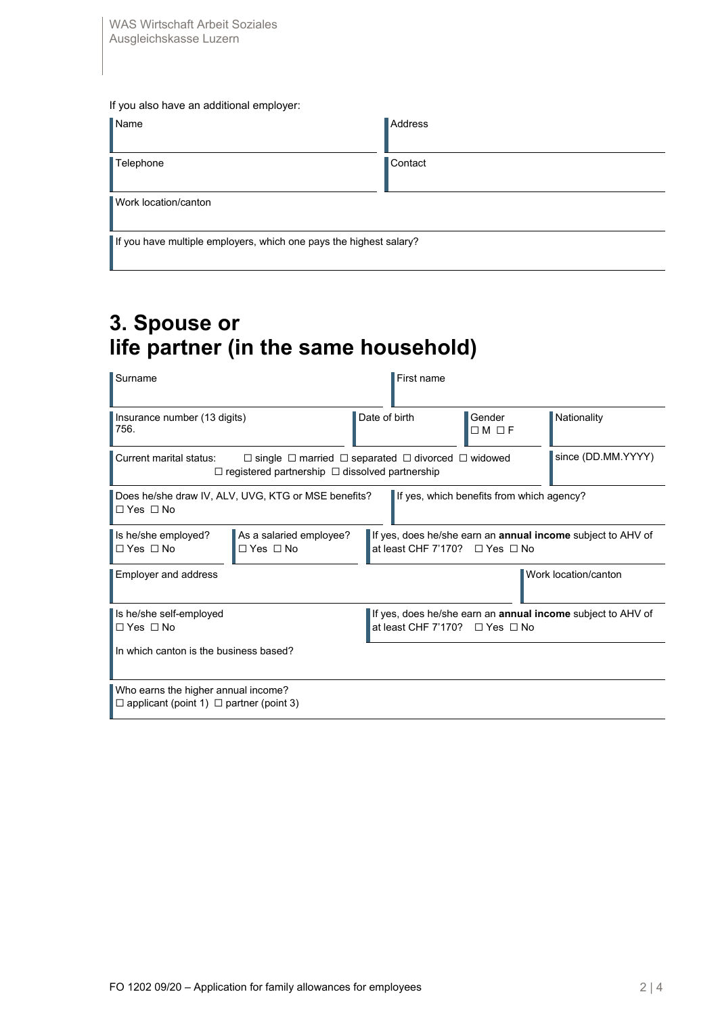| If you also have an additional employer:                           |                |
|--------------------------------------------------------------------|----------------|
| $\blacksquare$ Name                                                | <b>Address</b> |
| Telephone                                                          | Contact        |
| Work location/canton                                               |                |
| If you have multiple employers, which one pays the highest salary? |                |

### **3. Spouse or life partner (in the same household)**

| Surname                                                                                                                                                               | First name    |                                           |                                                                    |
|-----------------------------------------------------------------------------------------------------------------------------------------------------------------------|---------------|-------------------------------------------|--------------------------------------------------------------------|
| Insurance number (13 digits)<br>1756.                                                                                                                                 | Date of birth | Gender<br>$\Box M \Box F$                 | Nationality                                                        |
| Current marital status:<br>$\Box$ single $\Box$ married $\Box$ separated $\Box$ divorced $\Box$ widowed<br>$\Box$ registered partnership $\Box$ dissolved partnership |               |                                           | since (DD.MM.YYYY)                                                 |
| Does he/she draw IV, ALV, UVG, KTG or MSE benefits?<br>I□ Yes □ No                                                                                                    |               | If yes, which benefits from which agency? |                                                                    |
| Is he/she employed?<br>As a salaried employee?<br>l□ Yes □ No<br>$\Box$ Yes $\Box$ No                                                                                 |               | at least CHF 7'170? $\Box$ Yes $\Box$ No  | If yes, does he/she earn an <b>annual income</b> subject to AHV of |
| <b>Employer and address</b>                                                                                                                                           |               |                                           | Work location/canton                                               |
| Is he/she self-employed<br>$\Box$ Yes $\Box$ No                                                                                                                       |               | at least CHF 7'170? $\Box$ Yes $\Box$ No  | If yes, does he/she earn an annual income subject to AHV of        |
| In which canton is the business based?                                                                                                                                |               |                                           |                                                                    |
| Who earns the higher annual income?<br>$\Box$ applicant (point 1) $\Box$ partner (point 3)                                                                            |               |                                           |                                                                    |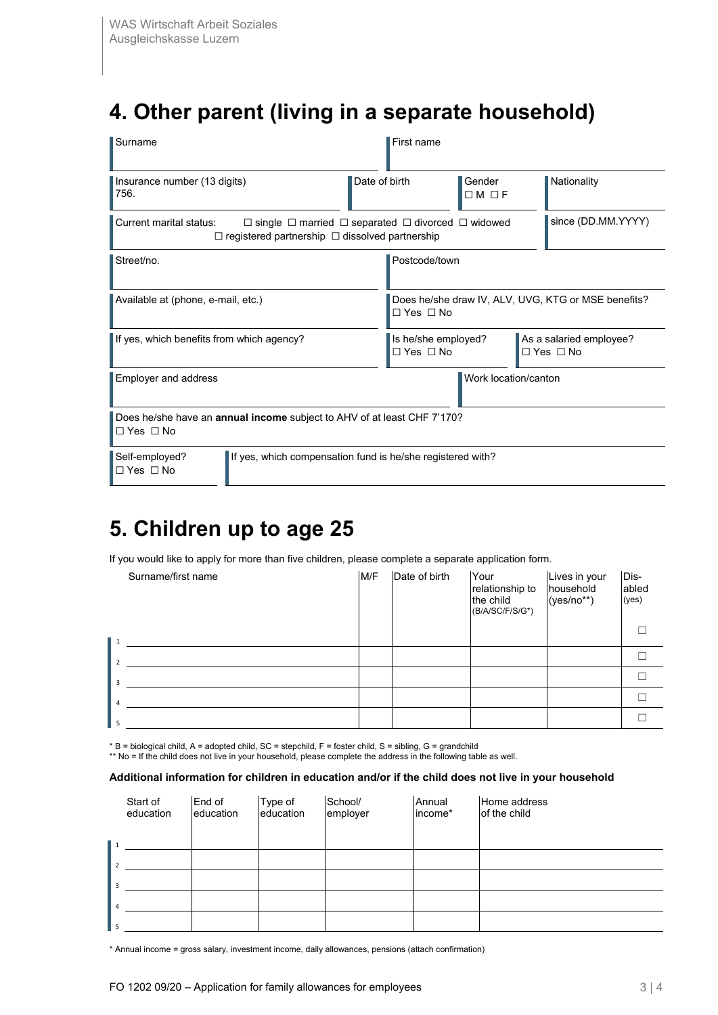## **4. Other parent (living in a separate household)**

| Surname                                                                                                                                                               |                                                                         |               | First name                                                                  |                             |  |                                                 |
|-----------------------------------------------------------------------------------------------------------------------------------------------------------------------|-------------------------------------------------------------------------|---------------|-----------------------------------------------------------------------------|-----------------------------|--|-------------------------------------------------|
| Insurance number (13 digits)<br>756.                                                                                                                                  |                                                                         | Date of birth |                                                                             | Gender<br>$\Box$ M $\Box$ F |  | Nationality                                     |
| Current marital status:<br>$\Box$ single $\Box$ married $\Box$ separated $\Box$ divorced $\Box$ widowed<br>$\Box$ registered partnership $\Box$ dissolved partnership |                                                                         |               | since (DD.MM.YYYY)                                                          |                             |  |                                                 |
| Street/no.                                                                                                                                                            |                                                                         |               | Postcode/town                                                               |                             |  |                                                 |
| Available at (phone, e-mail, etc.)                                                                                                                                    |                                                                         |               | Does he/she draw IV, ALV, UVG, KTG or MSE benefits?<br>$\Box$ Yes $\Box$ No |                             |  |                                                 |
| If yes, which benefits from which agency?                                                                                                                             |                                                                         |               | Is he/she employed?<br>$\Box$ Yes $\Box$ No                                 |                             |  | As a salaried employee?<br>$\Box$ Yes $\Box$ No |
| Employer and address                                                                                                                                                  |                                                                         |               | Work location/canton                                                        |                             |  |                                                 |
| $\Box$ Yes $\Box$ No                                                                                                                                                  | Does he/she have an annual income subject to AHV of at least CHF 7'170? |               |                                                                             |                             |  |                                                 |
| Self-employed?<br>$\Box$ Yes $\Box$ No                                                                                                                                | If yes, which compensation fund is he/she registered with?              |               |                                                                             |                             |  |                                                 |

### **5. Children up to age 25**

If you would like to apply for more than five children, please complete a separate application form.

|                  | Surname/first name | M/F | Date of birth | Your<br>relationship to<br>the child<br>(B/A/SC/F/S/G*) | Lives in your<br>household<br>$(yes/no**)$ | Dis-<br>abled<br>(yes) |
|------------------|--------------------|-----|---------------|---------------------------------------------------------|--------------------------------------------|------------------------|
| $\blacksquare$ 1 |                    |     |               |                                                         |                                            |                        |
| $\overline{2}$   |                    |     |               |                                                         |                                            |                        |
|                  |                    |     |               |                                                         |                                            |                        |
|                  |                    |     |               |                                                         |                                            |                        |
|                  |                    |     |               |                                                         |                                            |                        |

 $*$  B = biological child, A = adopted child, SC = stepchild, F = foster child, S = sibling, G = grandchild

\*\* No = If the child does not live in your household, please complete the address in the following table as well.

#### **Additional information for children in education and/or if the child does not live in your household**

|   | Start of<br>education | End of<br>education | Type of<br>education | School/<br>employer | Annual<br>income* | Home address<br>of the child |
|---|-----------------------|---------------------|----------------------|---------------------|-------------------|------------------------------|
|   |                       |                     |                      |                     |                   |                              |
|   |                       |                     |                      |                     |                   |                              |
|   |                       |                     |                      |                     |                   |                              |
|   |                       |                     |                      |                     |                   |                              |
| 5 |                       |                     |                      |                     |                   |                              |

\* Annual income = gross salary, investment income, daily allowances, pensions (attach confirmation)